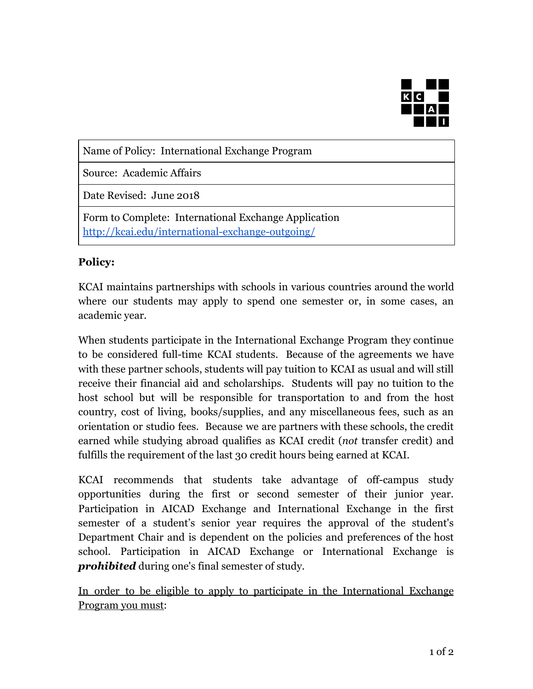

Name of Policy: International Exchange Program

Source: Academic Affairs

Date Revised: June 2018

Form to Complete: International Exchange Application <http://kcai.edu/international-exchange-outgoing/>

## **Policy:**

KCAI maintains partnerships with schools in various countries around the world where our students may apply to spend one semester or, in some cases, an academic year.

When students participate in the International Exchange Program they continue to be considered full-time KCAI students. Because of the agreements we have with these partner schools, students will pay tuition to KCAI as usual and will still receive their financial aid and scholarships. Students will pay no tuition to the host school but will be responsible for transportation to and from the host country, cost of living, books/supplies, and any miscellaneous fees, such as an orientation or studio fees. Because we are partners with these schools, the credit earned while studying abroad qualifies as KCAI credit (*not* transfer credit) and fulfills the requirement of the last 30 credit hours being earned at KCAI.

KCAI recommends that students take advantage of off-campus study opportunities during the first or second semester of their junior year. Participation in AICAD Exchange and International Exchange in the first semester of a student's senior year requires the approval of the student's Department Chair and is dependent on the policies and preferences of the host school. Participation in AICAD Exchange or International Exchange is *prohibited* during one's final semester of study.

In order to be eligible to apply to participate in the International Exchange Program you must: